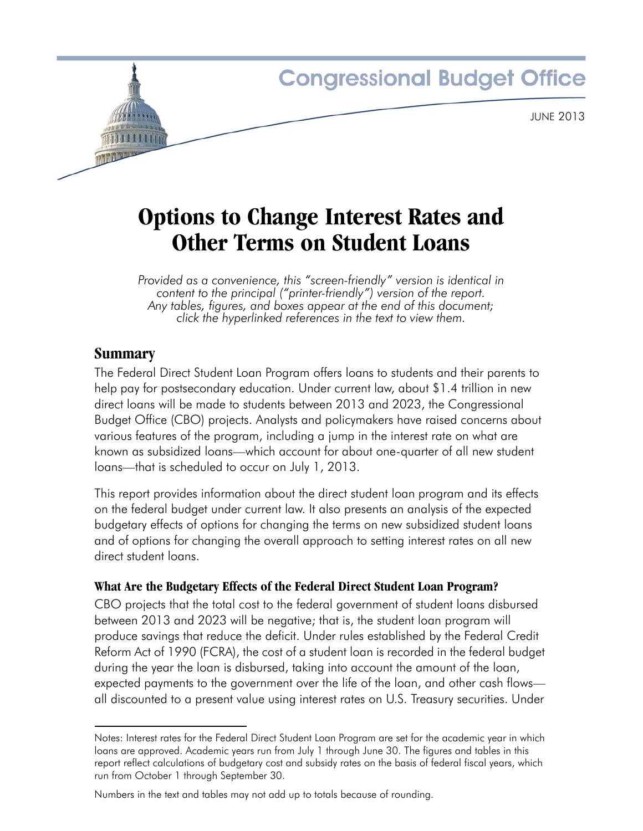

# **Options to Change Interest Rates and Other Terms on Student Loans**

*Provided as a convenience, this "screen-friendly" version is identical in content to the principal ("printer-friendly") version of the report. Any tables, figures, and boxes appear at the end of this document; click the hyperlinked references in the text to view them.*

# **Summary**

The Federal Direct Student Loan Program offers loans to students and their parents to help pay for postsecondary education. Under current law, about \$1.4 trillion in new direct loans will be made to students between 2013 and 2023, the Congressional Budget Office (CBO) projects. Analysts and policymakers have raised concerns about various features of the program, including a jump in the interest rate on what are known as subsidized loans—which account for about one-quarter of all new student loans—that is scheduled to occur on July 1, 2013.

This report provides information about the direct student loan program and its effects on the federal budget under current law. It also presents an analysis of the expected budgetary effects of options for changing the terms on new subsidized student loans and of options for changing the overall approach to setting interest rates on all new direct student loans.

# **What Are the Budgetary Effects of the Federal Direct Student Loan Program?**

CBO projects that the total cost to the federal government of student loans disbursed between 2013 and 2023 will be negative; that is, the student loan program will produce savings that reduce the deficit. Under rules established by the Federal Credit Reform Act of 1990 (FCRA), the cost of a student loan is recorded in the federal budget during the year the loan is disbursed, taking into account the amount of the loan, expected payments to the government over the life of the loan, and other cash flows all discounted to a present value using interest rates on U.S. Treasury securities. Under

Notes: Interest rates for the Federal Direct Student Loan Program are set for the academic year in which loans are approved. Academic years run from July 1 through June 30. The figures and tables in this report reflect calculations of budgetary cost and subsidy rates on the basis of federal fiscal years, which run from October 1 through September 30.

Numbers in the text and tables may not add up to totals because of rounding.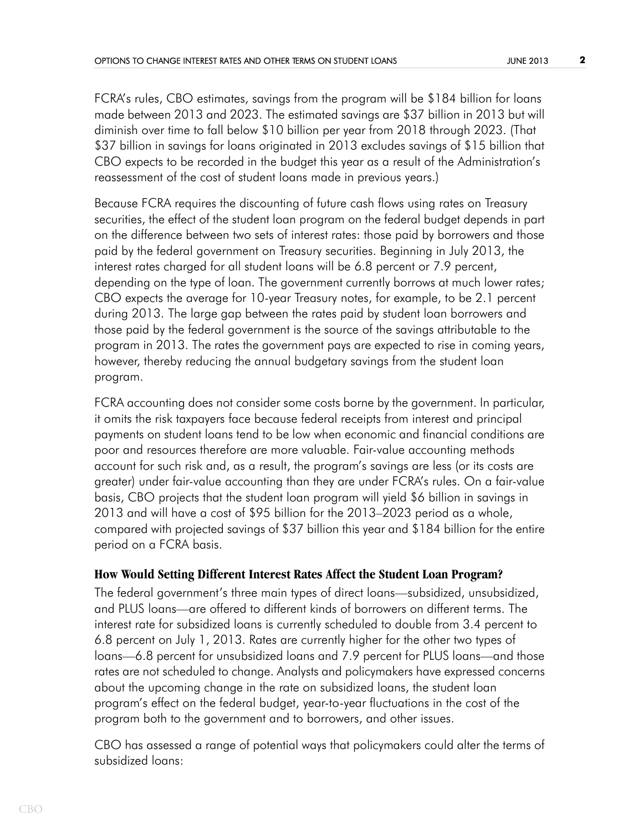FCRA's rules, CBO estimates, savings from the program will be \$184 billion for loans made between 2013 and 2023. The estimated savings are \$37 billion in 2013 but will diminish over time to fall below \$10 billion per year from 2018 through 2023. (That \$37 billion in savings for loans originated in 2013 excludes savings of \$15 billion that CBO expects to be recorded in the budget this year as a result of the Administration's reassessment of the cost of student loans made in previous years.)

Because FCRA requires the discounting of future cash flows using rates on Treasury securities, the effect of the student loan program on the federal budget depends in part on the difference between two sets of interest rates: those paid by borrowers and those paid by the federal government on Treasury securities. Beginning in July 2013, the interest rates charged for all student loans will be 6.8 percent or 7.9 percent, depending on the type of loan. The government currently borrows at much lower rates; CBO expects the average for 10-year Treasury notes, for example, to be 2.1 percent during 2013. The large gap between the rates paid by student loan borrowers and those paid by the federal government is the source of the savings attributable to the program in 2013. The rates the government pays are expected to rise in coming years, however, thereby reducing the annual budgetary savings from the student loan program.

FCRA accounting does not consider some costs borne by the government. In particular, it omits the risk taxpayers face because federal receipts from interest and principal payments on student loans tend to be low when economic and financial conditions are poor and resources therefore are more valuable. Fair-value accounting methods account for such risk and, as a result, the program's savings are less (or its costs are greater) under fair-value accounting than they are under FCRA's rules. On a fair-value basis, CBO projects that the student loan program will yield \$6 billion in savings in 2013 and will have a cost of \$95 billion for the 2013–2023 period as a whole, compared with projected savings of \$37 billion this year and \$184 billion for the entire period on a FCRA basis.

### **How Would Setting Different Interest Rates Affect the Student Loan Program?**

The federal government's three main types of direct loans—subsidized, unsubsidized, and PLUS loans—are offered to different kinds of borrowers on different terms. The interest rate for subsidized loans is currently scheduled to double from 3.4 percent to 6.8 percent on July 1, 2013. Rates are currently higher for the other two types of loans—6.8 percent for unsubsidized loans and 7.9 percent for PLUS loans—and those rates are not scheduled to change. Analysts and policymakers have expressed concerns about the upcoming change in the rate on subsidized loans, the student loan program's effect on the federal budget, year-to-year fluctuations in the cost of the program both to the government and to borrowers, and other issues.

CBO has assessed a range of potential ways that policymakers could alter the terms of subsidized loans: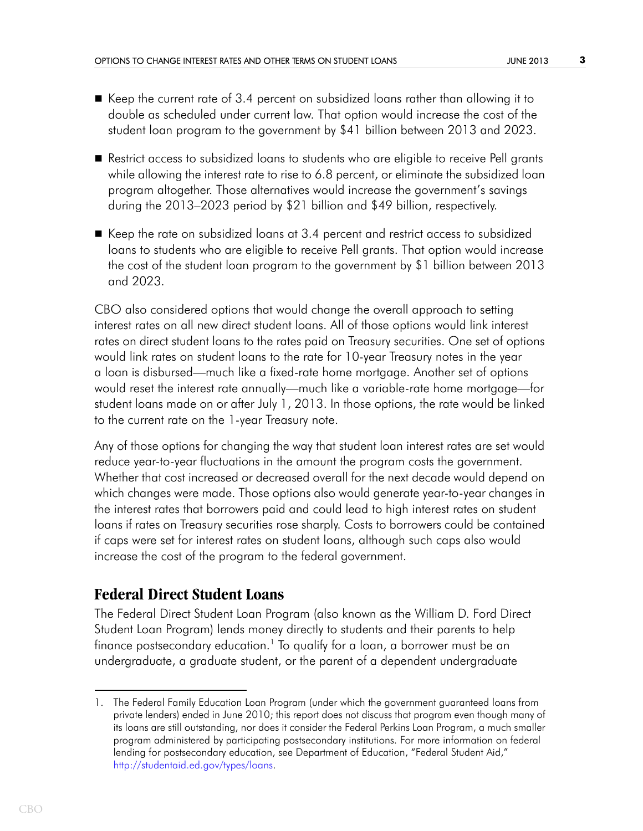- Keep the current rate of 3.4 percent on subsidized loans rather than allowing it to double as scheduled under current law. That option would increase the cost of the student loan program to the government by \$41 billion between 2013 and 2023.
- **Restrict access to subsidized loans to students who are eligible to receive Pell grants** while allowing the interest rate to rise to 6.8 percent, or eliminate the subsidized loan program altogether. Those alternatives would increase the government's savings during the 2013–2023 period by \$21 billion and \$49 billion, respectively.
- Keep the rate on subsidized loans at 3.4 percent and restrict access to subsidized loans to students who are eligible to receive Pell grants. That option would increase the cost of the student loan program to the government by \$1 billion between 2013 and 2023.

CBO also considered options that would change the overall approach to setting interest rates on all new direct student loans. All of those options would link interest rates on direct student loans to the rates paid on Treasury securities. One set of options would link rates on student loans to the rate for 10-year Treasury notes in the year a loan is disbursed—much like a fixed-rate home mortgage. Another set of options would reset the interest rate annually—much like a variable-rate home mortgage—for student loans made on or after July 1, 2013. In those options, the rate would be linked to the current rate on the 1-year Treasury note.

Any of those options for changing the way that student loan interest rates are set would reduce year-to-year fluctuations in the amount the program costs the government. Whether that cost increased or decreased overall for the next decade would depend on which changes were made. Those options also would generate year-to-year changes in the interest rates that borrowers paid and could lead to high interest rates on student loans if rates on Treasury securities rose sharply. Costs to borrowers could be contained if caps were set for interest rates on student loans, although such caps also would increase the cost of the program to the federal government.

# **Federal Direct Student Loans**

The Federal Direct Student Loan Program (also known as the William D. Ford Direct Student Loan Program) lends money directly to students and their parents to help finance postsecondary education. $^1$  To qualify for a loan, a borrower must be an undergraduate, a graduate student, or the parent of a dependent undergraduate

<sup>1.</sup> The Federal Family Education Loan Program (under which the government guaranteed loans from private lenders) ended in June 2010; this report does not discuss that program even though many of its loans are still outstanding, nor does it consider the Federal Perkins Loan Program, a much smaller program administered by participating postsecondary institutions. For more information on federal lending for postsecondary education, see Department of Education, "Federal Student Aid," [http://studentaid.ed.gov/types/loans.](http://studentaid.ed.gov/types/loans)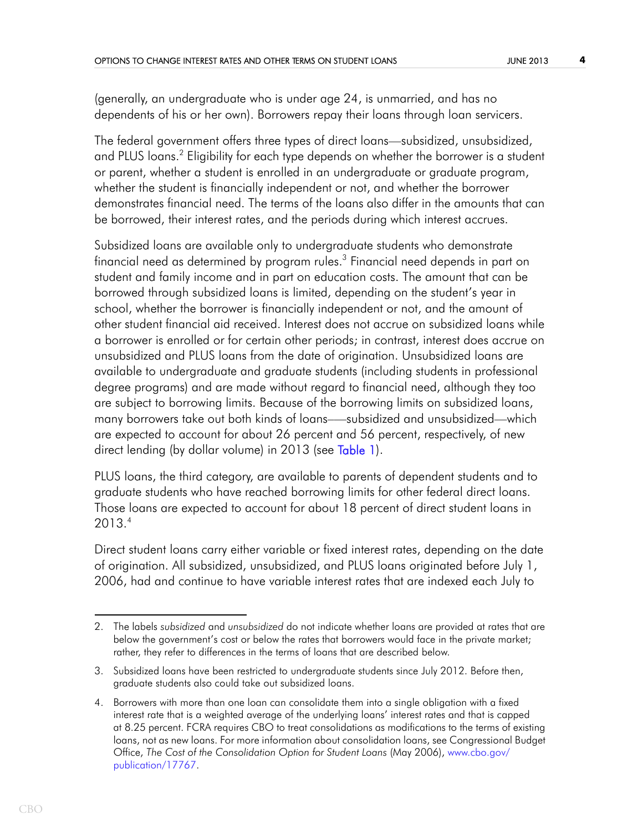(generally, an undergraduate who is under age 24, is unmarried, and has no dependents of his or her own). Borrowers repay their loans through loan servicers.

The federal government offers three types of direct loans—subsidized, unsubsidized, and PLUS loans.<sup>2</sup> Eligibility for each type depends on whether the borrower is a student or parent, whether a student is enrolled in an undergraduate or graduate program, whether the student is financially independent or not, and whether the borrower demonstrates financial need. The terms of the loans also differ in the amounts that can be borrowed, their interest rates, and the periods during which interest accrues.

Subsidized loans are available only to undergraduate students who demonstrate financial need as determined by program rules. $^3$  Financial need depends in part on student and family income and in part on education costs. The amount that can be borrowed through subsidized loans is limited, depending on the student's year in school, whether the borrower is financially independent or not, and the amount of other student financial aid received. Interest does not accrue on subsidized loans while a borrower is enrolled or for certain other periods; in contrast, interest does accrue on unsubsidized and PLUS loans from the date of origination. Unsubsidized loans are available to undergraduate and graduate students (including students in professional degree programs) and are made without regard to financial need, although they too are subject to borrowing limits. Because of the borrowing limits on subsidized loans, many borrowers take out both kinds of loans–—subsidized and unsubsidized—which are expected to account for about 26 percent and 56 percent, respectively, of new direct lending (by dollar volume) in 2013 (see [Table 1](#page-15-0)).

<span id="page-3-0"></span>PLUS loans, the third category, are available to parents of dependent students and to graduate students who have reached borrowing limits for other federal direct loans. Those loans are expected to account for about 18 percent of direct student loans in 2013.4

Direct student loans carry either variable or fixed interest rates, depending on the date of origination. All subsidized, unsubsidized, and PLUS loans originated before July 1, 2006, had and continue to have variable interest rates that are indexed each July to

<sup>2.</sup> The labels *subsidized* and *unsubsidized* do not indicate whether loans are provided at rates that are below the government's cost or below the rates that borrowers would face in the private market; rather, they refer to differences in the terms of loans that are described below.

<sup>3.</sup> Subsidized loans have been restricted to undergraduate students since July 2012. Before then, graduate students also could take out subsidized loans.

<sup>4.</sup> Borrowers with more than one loan can consolidate them into a single obligation with a fixed interest rate that is a weighted average of the underlying loans' interest rates and that is capped at 8.25 percent. FCRA requires CBO to treat consolidations as modifications to the terms of existing loans, not as new loans. For more information about consolidation loans, see Congressional Budget Office, *The Cost of the Consolidation Option for Student Loans (May 2006), [www.cbo.gov/](http://www.cbo.gov/publication/17767)* [publication/17767.](http://www.cbo.gov/publication/17767)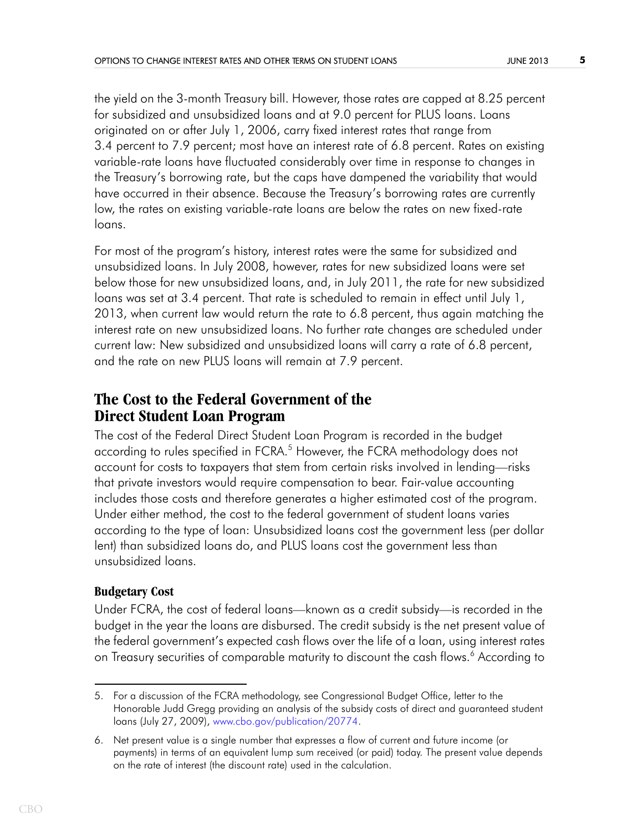the yield on the 3-month Treasury bill. However, those rates are capped at 8.25 percent for subsidized and unsubsidized loans and at 9.0 percent for PLUS loans. Loans originated on or after July 1, 2006, carry fixed interest rates that range from 3.4 percent to 7.9 percent; most have an interest rate of 6.8 percent. Rates on existing variable-rate loans have fluctuated considerably over time in response to changes in the Treasury's borrowing rate, but the caps have dampened the variability that would have occurred in their absence. Because the Treasury's borrowing rates are currently low, the rates on existing variable-rate loans are below the rates on new fixed-rate loans.

For most of the program's history, interest rates were the same for subsidized and unsubsidized loans. In July 2008, however, rates for new subsidized loans were set below those for new unsubsidized loans, and, in July 2011, the rate for new subsidized loans was set at 3.4 percent. That rate is scheduled to remain in effect until July 1, 2013, when current law would return the rate to 6.8 percent, thus again matching the interest rate on new unsubsidized loans. No further rate changes are scheduled under current law: New subsidized and unsubsidized loans will carry a rate of 6.8 percent, and the rate on new PLUS loans will remain at 7.9 percent.

# **The Cost to the Federal Government of the Direct Student Loan Program**

The cost of the Federal Direct Student Loan Program is recorded in the budget according to rules specified in FCRA.<sup>5</sup> However, the FCRA methodology does not account for costs to taxpayers that stem from certain risks involved in lending—risks that private investors would require compensation to bear. Fair-value accounting includes those costs and therefore generates a higher estimated cost of the program. Under either method, the cost to the federal government of student loans varies according to the type of loan: Unsubsidized loans cost the government less (per dollar lent) than subsidized loans do, and PLUS loans cost the government less than unsubsidized loans.

# **Budgetary Cost**

Under FCRA, the cost of federal loans—known as a credit subsidy—is recorded in the budget in the year the loans are disbursed. The credit subsidy is the net present value of the federal government's expected cash flows over the life of a loan, using interest rates on Treasury securities of comparable maturity to discount the cash flows.<sup>6</sup> According to

<sup>5.</sup> For a discussion of the FCRA methodology, see Congressional Budget Office, letter to the Honorable Judd Gregg providing an analysis of the subsidy costs of direct and guaranteed student loans (July 27, 2009), [www.cbo.gov/publication/20774](http://www.cbo.gov/publication/20774).

<sup>6.</sup> Net present value is a single number that expresses a flow of current and future income (or payments) in terms of an equivalent lump sum received (or paid) today. The present value depends on the rate of interest (the discount rate) used in the calculation.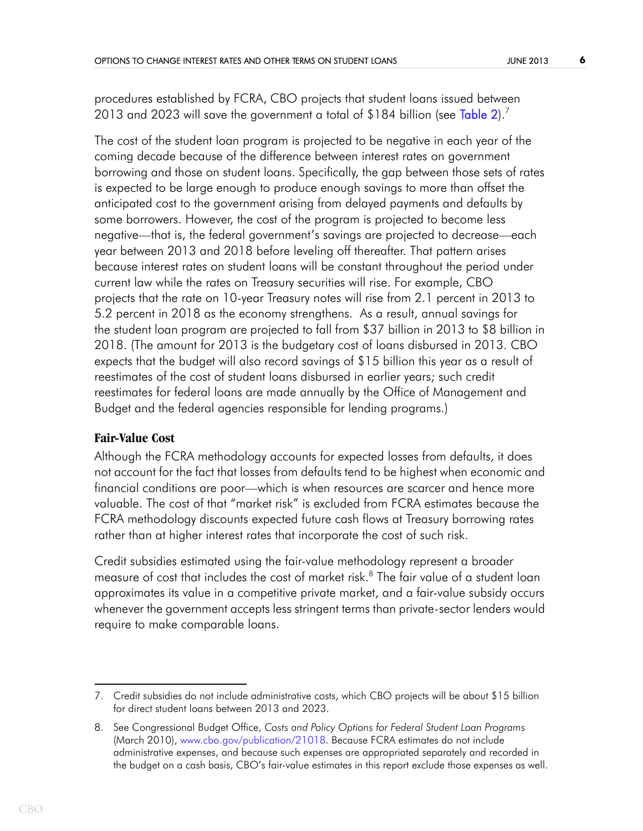<span id="page-5-0"></span>procedures established by FCRA, CBO projects that student loans issued between 2013 and 2023 will save the government a total of \$184 billion (see [Table 2](#page-16-0)).<sup>7</sup>

The cost of the student loan program is projected to be negative in each year of the coming decade because of the difference between interest rates on government borrowing and those on student loans. Specifically, the gap between those sets of rates is expected to be large enough to produce enough savings to more than offset the anticipated cost to the government arising from delayed payments and defaults by some borrowers. However, the cost of the program is projected to become less negative—that is, the federal government's savings are projected to decrease—each year between 2013 and 2018 before leveling off thereafter. That pattern arises because interest rates on student loans will be constant throughout the period under current law while the rates on Treasury securities will rise. For example, CBO projects that the rate on 10-year Treasury notes will rise from 2.1 percent in 2013 to 5.2 percent in 2018 as the economy strengthens. As a result, annual savings for the student loan program are projected to fall from \$37 billion in 2013 to \$8 billion in 2018. (The amount for 2013 is the budgetary cost of loans disbursed in 2013. CBO expects that the budget will also record savings of \$15 billion this year as a result of reestimates of the cost of student loans disbursed in earlier years; such credit reestimates for federal loans are made annually by the Office of Management and Budget and the federal agencies responsible for lending programs.)

### **Fair-Value Cost**

Although the FCRA methodology accounts for expected losses from defaults, it does not account for the fact that losses from defaults tend to be highest when economic and financial conditions are poor—which is when resources are scarcer and hence more valuable. The cost of that "market risk" is excluded from FCRA estimates because the FCRA methodology discounts expected future cash flows at Treasury borrowing rates rather than at higher interest rates that incorporate the cost of such risk.

Credit subsidies estimated using the fair-value methodology represent a broader measure of cost that includes the cost of market risk.<sup>8</sup> The fair value of a student loan approximates its value in a competitive private market, and a fair-value subsidy occurs whenever the government accepts less stringent terms than private-sector lenders would require to make comparable loans.

<sup>7.</sup> Credit subsidies do not include administrative costs, which CBO projects will be about \$15 billion for direct student loans between 2013 and 2023.

<sup>8.</sup> See Congressional Budget Office, *Costs and Policy Options for Federal Student Loan Programs*  (March 2010), [www.cbo.gov/publication/21018](http://www.cbo.gov/publication/21018). Because FCRA estimates do not include administrative expenses, and because such expenses are appropriated separately and recorded in the budget on a cash basis, CBO's fair-value estimates in this report exclude those expenses as well.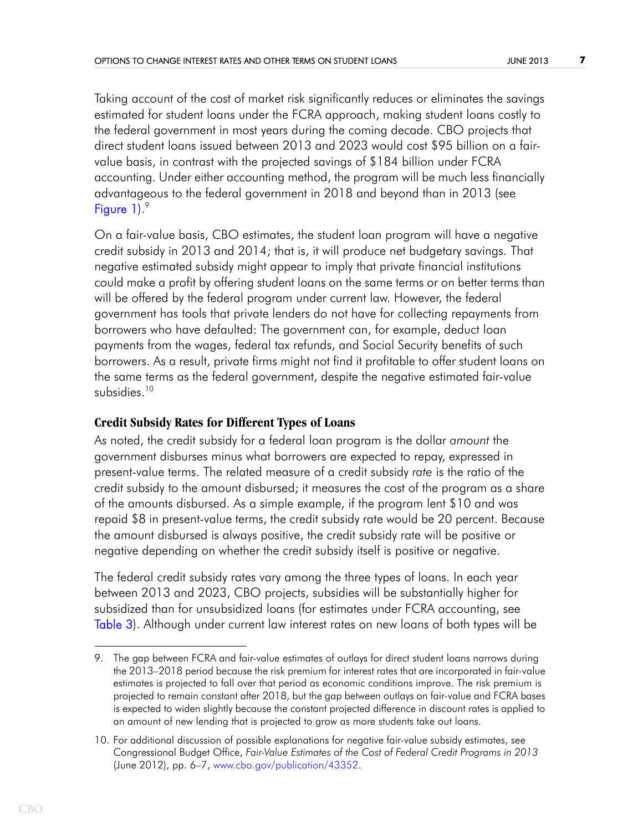Taking account of the cost of market risk significantly reduces or eliminates the savings estimated for student loans under the FCRA approach, making student loans costly to the federal government in most years during the coming decade. CBO projects that direct student loans issued between 2013 and 2023 would cost \$95 billion on a fairvalue basis, in contrast with the projected savings of \$184 billion under FCRA accounting. Under either accounting method, the program will be much less financially advantageous to the federal government in 2018 and beyond than in 2013 (see [Figure 1](#page-17-0)).<sup>9</sup>

<span id="page-6-0"></span>On a fair-value basis, CBO estimates, the student loan program will have a negative credit subsidy in 2013 and 2014; that is, it will produce net budgetary savings. That negative estimated subsidy might appear to imply that private financial institutions could make a profit by offering student loans on the same terms or on better terms than will be offered by the federal program under current law. However, the federal government has tools that private lenders do not have for collecting repayments from borrowers who have defaulted: The government can, for example, deduct loan payments from the wages, federal tax refunds, and Social Security benefits of such borrowers. As a result, private firms might not find it profitable to offer student loans on the same terms as the federal government, despite the negative estimated fair-value subsidies.<sup>10</sup>

## **Credit Subsidy Rates for Different Types of Loans**

As noted, the credit subsidy for a federal loan program is the dollar *amount* the government disburses minus what borrowers are expected to repay, expressed in present-value terms. The related measure of a credit subsidy *rate* is the ratio of the credit subsidy to the amount disbursed; it measures the cost of the program as a share of the amounts disbursed. As a simple example, if the program lent \$10 and was repaid \$8 in present-value terms, the credit subsidy rate would be 20 percent. Because the amount disbursed is always positive, the credit subsidy rate will be positive or negative depending on whether the credit subsidy itself is positive or negative.

<span id="page-6-1"></span>The federal credit subsidy rates vary among the three types of loans. In each year between 2013 and 2023, CBO projects, subsidies will be substantially higher for subsidized than for unsubsidized loans (for estimates under FCRA accounting, see [Table 3\)](#page-18-0). Although under current law interest rates on new loans of both types will be

<sup>9.</sup> The gap between FCRA and fair-value estimates of outlays for direct student loans narrows during the 2013–2018 period because the risk premium for interest rates that are incorporated in fair-value estimates is projected to fall over that period as economic conditions improve. The risk premium is projected to remain constant after 2018, but the gap between outlays on fair-value and FCRA bases is expected to widen slightly because the constant projected difference in discount rates is applied to an amount of new lending that is projected to grow as more students take out loans.

<sup>10.</sup> For additional discussion of possible explanations for negative fair-value subsidy estimates, see Congressional Budget Office, *Fair-Value Estimates of the Cost of Federal Credit Programs in 2013*  (June 2012), pp. 6–7, [www.cbo.gov/publication/43352](http://www.cbo.gov/publication/43352).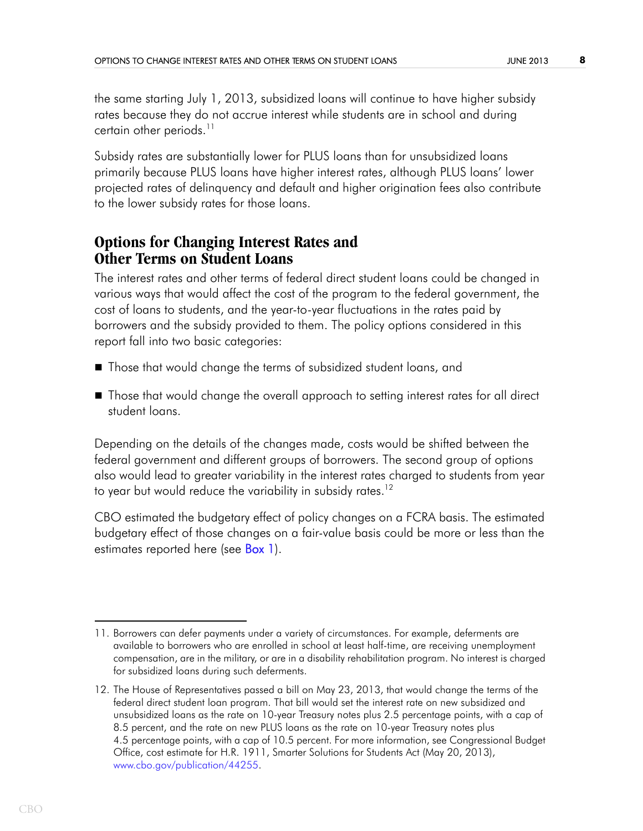the same starting July 1, 2013, subsidized loans will continue to have higher subsidy rates because they do not accrue interest while students are in school and during certain other periods. $11$ 

Subsidy rates are substantially lower for PLUS loans than for unsubsidized loans primarily because PLUS loans have higher interest rates, although PLUS loans' lower projected rates of delinquency and default and higher origination fees also contribute to the lower subsidy rates for those loans.

# **Options for Changing Interest Rates and Other Terms on Student Loans**

The interest rates and other terms of federal direct student loans could be changed in various ways that would affect the cost of the program to the federal government, the cost of loans to students, and the year-to-year fluctuations in the rates paid by borrowers and the subsidy provided to them. The policy options considered in this report fall into two basic categories:

- Those that would change the terms of subsidized student loans, and
- Those that would change the overall approach to setting interest rates for all direct student loans.

Depending on the details of the changes made, costs would be shifted between the federal government and different groups of borrowers. The second group of options also would lead to greater variability in the interest rates charged to students from year to year but would reduce the variability in subsidy rates.<sup>12</sup>

<span id="page-7-0"></span>CBO estimated the budgetary effect of policy changes on a FCRA basis. The estimated budgetary effect of those changes on a fair-value basis could be more or less than the estimates reported here (see **Box 1**).

<sup>11.</sup> Borrowers can defer payments under a variety of circumstances. For example, deferments are available to borrowers who are enrolled in school at least half-time, are receiving unemployment compensation, are in the military, or are in a disability rehabilitation program. No interest is charged for subsidized loans during such deferments.

<sup>12.</sup> The House of Representatives passed a bill on May 23, 2013, that would change the terms of the federal direct student loan program. That bill would set the interest rate on new subsidized and unsubsidized loans as the rate on 10-year Treasury notes plus 2.5 percentage points, with a cap of 8.5 percent, and the rate on new PLUS loans as the rate on 10-year Treasury notes plus 4.5 percentage points, with a cap of 10.5 percent. For more information, see Congressional Budget Office, cost estimate for H.R. 1911, Smarter Solutions for Students Act (May 20, 2013), [www.cbo.gov/publication/44255](http://www.cbo.gov/publication/44255).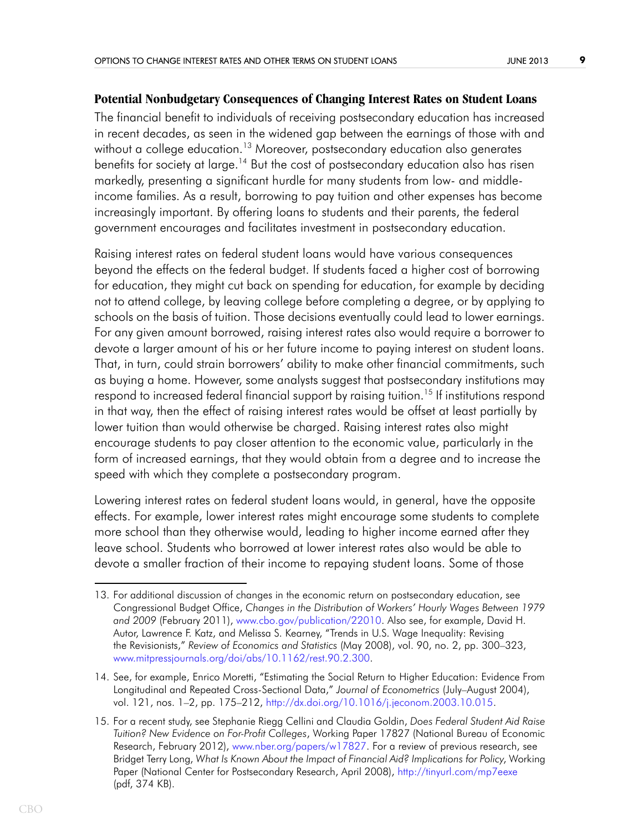### **Potential Nonbudgetary Consequences of Changing Interest Rates on Student Loans**

The financial benefit to individuals of receiving postsecondary education has increased in recent decades, as seen in the widened gap between the earnings of those with and without a college education.<sup>13</sup> Moreover, postsecondary education also generates benefits for society at large.<sup>14</sup> But the cost of postsecondary education also has risen markedly, presenting a significant hurdle for many students from low- and middleincome families. As a result, borrowing to pay tuition and other expenses has become increasingly important. By offering loans to students and their parents, the federal government encourages and facilitates investment in postsecondary education.

Raising interest rates on federal student loans would have various consequences beyond the effects on the federal budget. If students faced a higher cost of borrowing for education, they might cut back on spending for education, for example by deciding not to attend college, by leaving college before completing a degree, or by applying to schools on the basis of tuition. Those decisions eventually could lead to lower earnings. For any given amount borrowed, raising interest rates also would require a borrower to devote a larger amount of his or her future income to paying interest on student loans. That, in turn, could strain borrowers' ability to make other financial commitments, such as buying a home. However, some analysts suggest that postsecondary institutions may respond to increased federal financial support by raising tuition.<sup>15</sup> If institutions respond in that way, then the effect of raising interest rates would be offset at least partially by lower tuition than would otherwise be charged. Raising interest rates also might encourage students to pay closer attention to the economic value, particularly in the form of increased earnings, that they would obtain from a degree and to increase the speed with which they complete a postsecondary program.

Lowering interest rates on federal student loans would, in general, have the opposite effects. For example, lower interest rates might encourage some students to complete more school than they otherwise would, leading to higher income earned after they leave school. Students who borrowed at lower interest rates also would be able to devote a smaller fraction of their income to repaying student loans. Some of those

<sup>13.</sup> For additional discussion of changes in the economic return on postsecondary education, see Congressional Budget Office, *Changes in the Distribution of Workers' Hourly Wages Between 1979 and 2009* (February 2011), [www.cbo.gov/publication/22010](http://www.cbo.gov/publication/22010). Also see, for example, David H. Autor, Lawrence F. Katz, and Melissa S. Kearney, "Trends in U.S. Wage Inequality: Revising the Revisionists," *Review of Economics and Statistics* (May 2008), vol. 90, no. 2, pp. 300–323, [www.mitpressjournals.org/doi/abs/10.1162/rest.90.2.300](http://www.mitpressjournals.org/doi/abs/10.1162/rest.90.2.300).

<sup>14.</sup> See, for example, Enrico Moretti, "Estimating the Social Return to Higher Education: Evidence From Longitudinal and Repeated Cross-Sectional Data," *Journal of Econometrics* (July–August 2004), vol. 121, nos. 1–2, pp. 175–212, [http://dx.doi.org/10.1016/j.jeconom.2003.10.015.](http://dx.doi.org/10.1016/j.jeconom.2003.10.015)

<sup>15.</sup> For a recent study, see Stephanie Riegg Cellini and Claudia Goldin, *Does Federal Student Aid Raise Tuition? New Evidence on For-Profit Colleges*, Working Paper 17827 (National Bureau of Economic Research, February 2012), [www.nber.org/papers/w17827](http://www.nber.org/papers/w17827). For a review of previous research, see Bridget Terry Long, *What Is Known About the Impact of Financial Aid? Implications for Policy*, Working Paper (National Center for Postsecondary Research, April 2008), <http://tinyurl.com/mp7eexe> (pdf, 374 KB).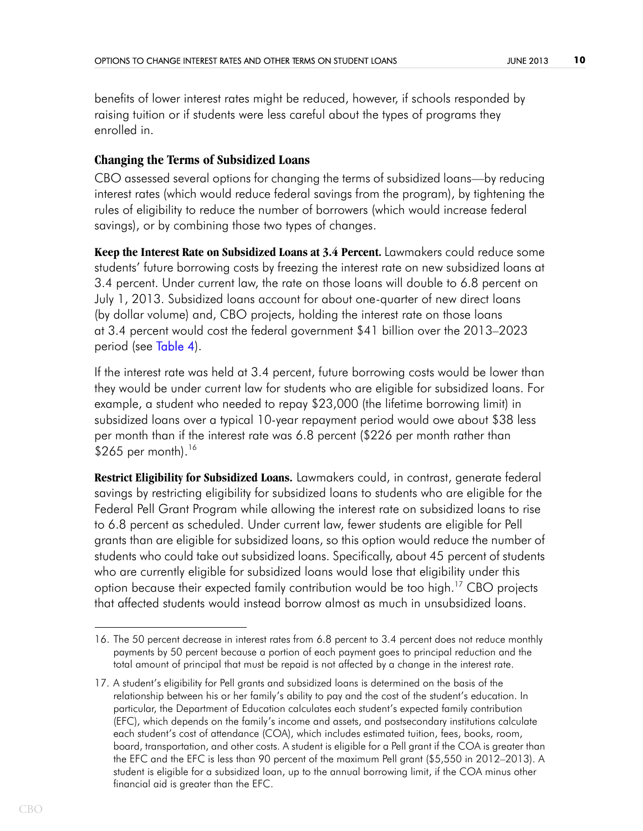benefits of lower interest rates might be reduced, however, if schools responded by raising tuition or if students were less careful about the types of programs they enrolled in.

### **Changing the Terms of Subsidized Loans**

CBO assessed several options for changing the terms of subsidized loans—by reducing interest rates (which would reduce federal savings from the program), by tightening the rules of eligibility to reduce the number of borrowers (which would increase federal savings), or by combining those two types of changes.

**Keep the Interest Rate on Subsidized Loans at 3.4 Percent.** Lawmakers could reduce some students' future borrowing costs by freezing the interest rate on new subsidized loans at 3.4 percent. Under current law, the rate on those loans will double to 6.8 percent on July 1, 2013. Subsidized loans account for about one-quarter of new direct loans (by dollar volume) and, CBO projects, holding the interest rate on those loans at 3.4 percent would cost the federal government \$41 billion over the 2013–2023 period (see [Table 4\)](#page-20-0).

<span id="page-9-0"></span>If the interest rate was held at 3.4 percent, future borrowing costs would be lower than they would be under current law for students who are eligible for subsidized loans. For example, a student who needed to repay \$23,000 (the lifetime borrowing limit) in subsidized loans over a typical 10-year repayment period would owe about \$38 less per month than if the interest rate was 6.8 percent (\$226 per month rather than  $$265$  per month).<sup>16</sup>

**Restrict Eligibility for Subsidized Loans.** Lawmakers could, in contrast, generate federal savings by restricting eligibility for subsidized loans to students who are eligible for the Federal Pell Grant Program while allowing the interest rate on subsidized loans to rise to 6.8 percent as scheduled. Under current law, fewer students are eligible for Pell grants than are eligible for subsidized loans, so this option would reduce the number of students who could take out subsidized loans. Specifically, about 45 percent of students who are currently eligible for subsidized loans would lose that eligibility under this option because their expected family contribution would be too high.<sup>17</sup> CBO projects that affected students would instead borrow almost as much in unsubsidized loans.

<sup>16.</sup> The 50 percent decrease in interest rates from 6.8 percent to 3.4 percent does not reduce monthly payments by 50 percent because a portion of each payment goes to principal reduction and the total amount of principal that must be repaid is not affected by a change in the interest rate.

<sup>17.</sup> A student's eligibility for Pell grants and subsidized loans is determined on the basis of the relationship between his or her family's ability to pay and the cost of the student's education. In particular, the Department of Education calculates each student's expected family contribution (EFC), which depends on the family's income and assets, and postsecondary institutions calculate each student's cost of attendance (COA), which includes estimated tuition, fees, books, room, board, transportation, and other costs. A student is eligible for a Pell grant if the COA is greater than the EFC and the EFC is less than 90 percent of the maximum Pell grant (\$5,550 in 2012–2013). A student is eligible for a subsidized loan, up to the annual borrowing limit, if the COA minus other financial aid is greater than the EFC.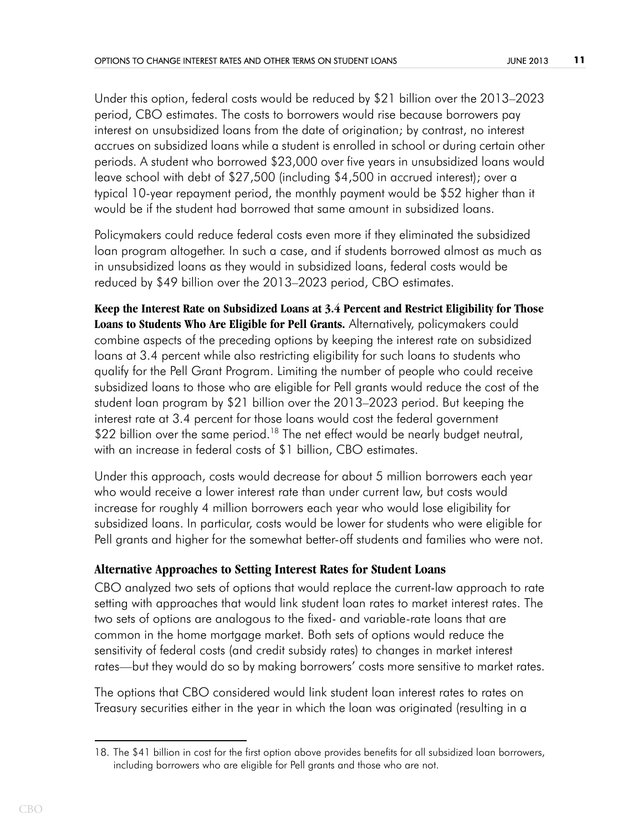Under this option, federal costs would be reduced by \$21 billion over the 2013–2023 period, CBO estimates. The costs to borrowers would rise because borrowers pay interest on unsubsidized loans from the date of origination; by contrast, no interest accrues on subsidized loans while a student is enrolled in school or during certain other periods. A student who borrowed \$23,000 over five years in unsubsidized loans would leave school with debt of \$27,500 (including \$4,500 in accrued interest); over a typical 10-year repayment period, the monthly payment would be \$52 higher than it would be if the student had borrowed that same amount in subsidized loans.

Policymakers could reduce federal costs even more if they eliminated the subsidized loan program altogether. In such a case, and if students borrowed almost as much as in unsubsidized loans as they would in subsidized loans, federal costs would be reduced by \$49 billion over the 2013–2023 period, CBO estimates.

**Keep the Interest Rate on Subsidized Loans at 3.4 Percent and Restrict Eligibility for Those Loans to Students Who Are Eligible for Pell Grants.** Alternatively, policymakers could combine aspects of the preceding options by keeping the interest rate on subsidized loans at 3.4 percent while also restricting eligibility for such loans to students who qualify for the Pell Grant Program. Limiting the number of people who could receive subsidized loans to those who are eligible for Pell grants would reduce the cost of the student loan program by \$21 billion over the 2013–2023 period. But keeping the interest rate at 3.4 percent for those loans would cost the federal government \$22 billion over the same period.<sup>18</sup> The net effect would be nearly budget neutral, with an increase in federal costs of \$1 billion, CBO estimates.

Under this approach, costs would decrease for about 5 million borrowers each year who would receive a lower interest rate than under current law, but costs would increase for roughly 4 million borrowers each year who would lose eligibility for subsidized loans. In particular, costs would be lower for students who were eligible for Pell grants and higher for the somewhat better-off students and families who were not.

### **Alternative Approaches to Setting Interest Rates for Student Loans**

CBO analyzed two sets of options that would replace the current-law approach to rate setting with approaches that would link student loan rates to market interest rates. The two sets of options are analogous to the fixed- and variable-rate loans that are common in the home mortgage market. Both sets of options would reduce the sensitivity of federal costs (and credit subsidy rates) to changes in market interest rates—but they would do so by making borrowers' costs more sensitive to market rates.

The options that CBO considered would link student loan interest rates to rates on Treasury securities either in the year in which the loan was originated (resulting in a

<sup>18.</sup> The \$41 billion in cost for the first option above provides benefits for all subsidized loan borrowers, including borrowers who are eligible for Pell grants and those who are not.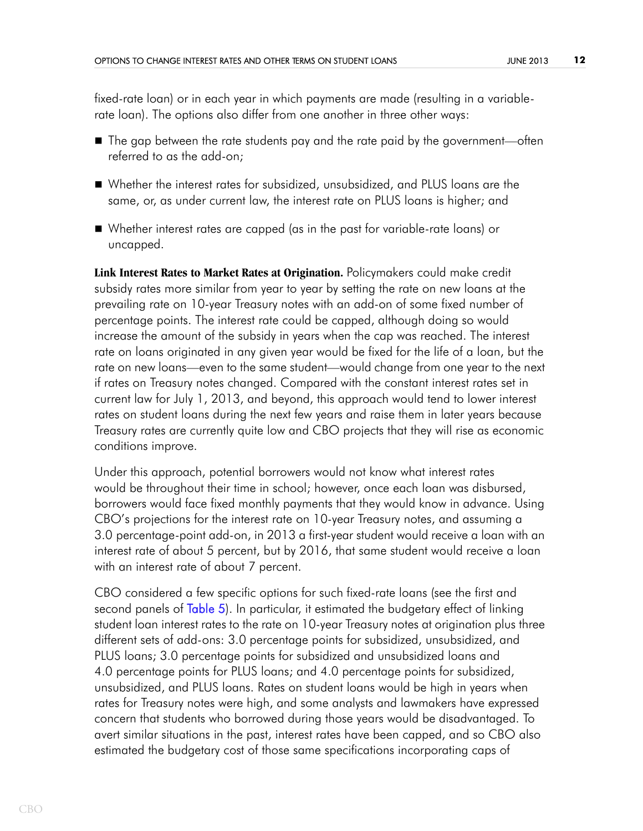fixed-rate loan) or in each year in which payments are made (resulting in a variablerate loan). The options also differ from one another in three other ways:

- $\blacksquare$  The gap between the rate students pay and the rate paid by the government—often referred to as the add-on;
- Whether the interest rates for subsidized, unsubsidized, and PLUS loans are the same, or, as under current law, the interest rate on PLUS loans is higher; and
- Whether interest rates are capped (as in the past for variable-rate loans) or uncapped.

**Link Interest Rates to Market Rates at Origination.** Policymakers could make credit subsidy rates more similar from year to year by setting the rate on new loans at the prevailing rate on 10-year Treasury notes with an add-on of some fixed number of percentage points. The interest rate could be capped, although doing so would increase the amount of the subsidy in years when the cap was reached. The interest rate on loans originated in any given year would be fixed for the life of a loan, but the rate on new loans—even to the same student—would change from one year to the next if rates on Treasury notes changed. Compared with the constant interest rates set in current law for July 1, 2013, and beyond, this approach would tend to lower interest rates on student loans during the next few years and raise them in later years because Treasury rates are currently quite low and CBO projects that they will rise as economic conditions improve.

Under this approach, potential borrowers would not know what interest rates would be throughout their time in school; however, once each loan was disbursed, borrowers would face fixed monthly payments that they would know in advance. Using CBO's projections for the interest rate on 10-year Treasury notes, and assuming a 3.0 percentage-point add-on, in 2013 a first-year student would receive a loan with an interest rate of about 5 percent, but by 2016, that same student would receive a loan with an interest rate of about 7 percent.

<span id="page-11-0"></span>CBO considered a few specific options for such fixed-rate loans (see the first and second panels of [Table 5\)](#page-21-0). In particular, it estimated the budgetary effect of linking student loan interest rates to the rate on 10-year Treasury notes at origination plus three different sets of add-ons: 3.0 percentage points for subsidized, unsubsidized, and PLUS loans; 3.0 percentage points for subsidized and unsubsidized loans and 4.0 percentage points for PLUS loans; and 4.0 percentage points for subsidized, unsubsidized, and PLUS loans. Rates on student loans would be high in years when rates for Treasury notes were high, and some analysts and lawmakers have expressed concern that students who borrowed during those years would be disadvantaged. To avert similar situations in the past, interest rates have been capped, and so CBO also estimated the budgetary cost of those same specifications incorporating caps of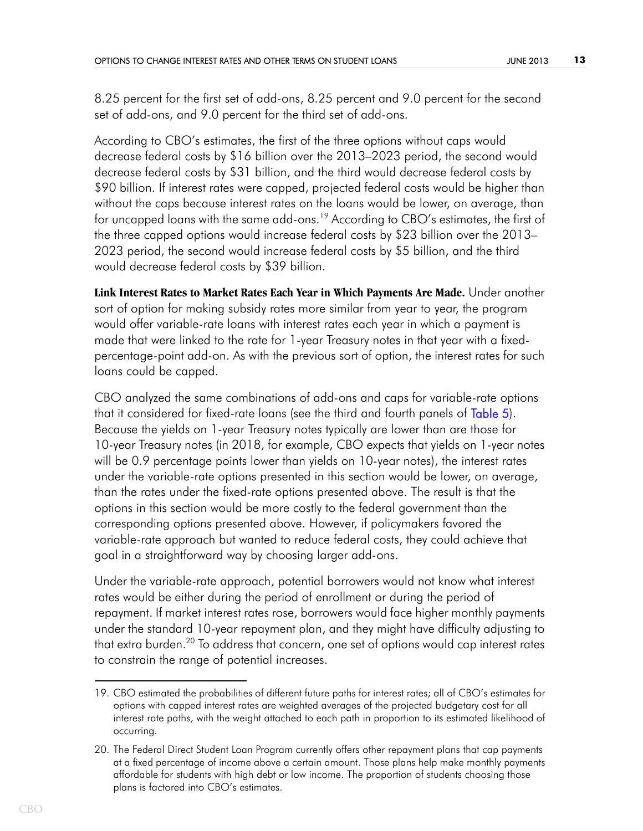8.25 percent for the first set of add-ons, 8.25 percent and 9.0 percent for the second set of add-ons, and 9.0 percent for the third set of add-ons.

According to CBO's estimates, the first of the three options without caps would decrease federal costs by \$16 billion over the 2013–2023 period, the second would decrease federal costs by \$31 billion, and the third would decrease federal costs by \$90 billion. If interest rates were capped, projected federal costs would be higher than without the caps because interest rates on the loans would be lower, on average, than for uncapped loans with the same add-ons.19 According to CBO's estimates, the first of the three capped options would increase federal costs by \$23 billion over the 2013– 2023 period, the second would increase federal costs by \$5 billion, and the third would decrease federal costs by \$39 billion.

**Link Interest Rates to Market Rates Each Year in Which Payments Are Made.** Under another sort of option for making subsidy rates more similar from year to year, the program would offer variable-rate loans with interest rates each year in which a payment is made that were linked to the rate for 1-year Treasury notes in that year with a fixedpercentage-point add-on. As with the previous sort of option, the interest rates for such loans could be capped.

<span id="page-12-0"></span>CBO analyzed the same combinations of add-ons and caps for variable-rate options that it considered for fixed-rate loans (see the third and fourth panels of [Table 5](#page-21-0)). Because the yields on 1-year Treasury notes typically are lower than are those for 10-year Treasury notes (in 2018, for example, CBO expects that yields on 1-year notes will be 0.9 percentage points lower than yields on 10-year notes), the interest rates under the variable-rate options presented in this section would be lower, on average, than the rates under the fixed-rate options presented above. The result is that the options in this section would be more costly to the federal government than the corresponding options presented above. However, if policymakers favored the variable-rate approach but wanted to reduce federal costs, they could achieve that goal in a straightforward way by choosing larger add-ons.

Under the variable-rate approach, potential borrowers would not know what interest rates would be either during the period of enrollment or during the period of repayment. If market interest rates rose, borrowers would face higher monthly payments under the standard 10-year repayment plan, and they might have difficulty adjusting to that extra burden.<sup>20</sup> To address that concern, one set of options would cap interest rates to constrain the range of potential increases.

<sup>19.</sup> CBO estimated the probabilities of different future paths for interest rates; all of CBO's estimates for options with capped interest rates are weighted averages of the projected budgetary cost for all interest rate paths, with the weight attached to each path in proportion to its estimated likelihood of occurring.

<sup>20.</sup> The Federal Direct Student Loan Program currently offers other repayment plans that cap payments at a fixed percentage of income above a certain amount. Those plans help make monthly payments affordable for students with high debt or low income. The proportion of students choosing those plans is factored into CBO's estimates.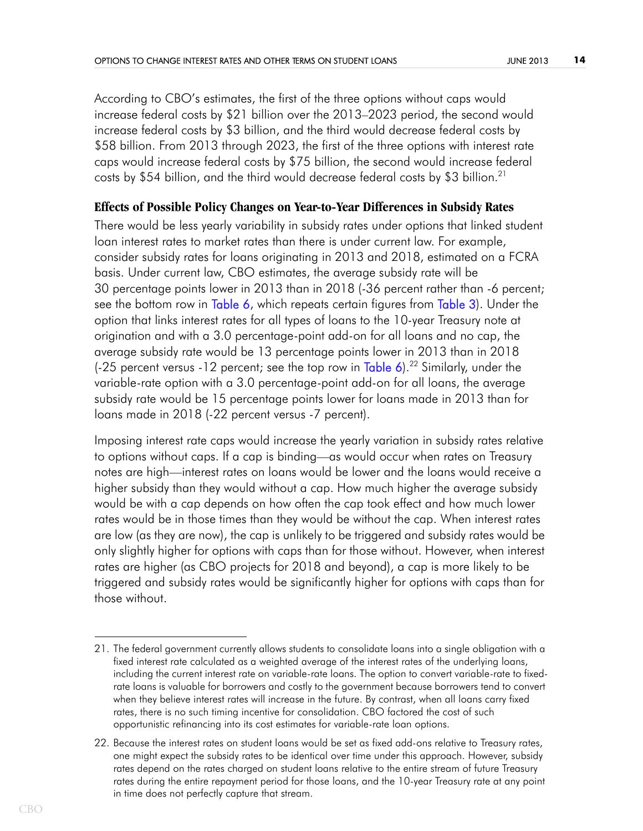According to CBO's estimates, the first of the three options without caps would increase federal costs by \$21 billion over the 2013–2023 period, the second would increase federal costs by \$3 billion, and the third would decrease federal costs by \$58 billion. From 2013 through 2023, the first of the three options with interest rate caps would increase federal costs by \$75 billion, the second would increase federal costs by \$54 billion, and the third would decrease federal costs by \$3 billion.21

### **Effects of Possible Policy Changes on Year-to-Year Differences in Subsidy Rates**

<span id="page-13-1"></span><span id="page-13-0"></span>There would be less yearly variability in subsidy rates under options that linked student loan interest rates to market rates than there is under current law. For example, consider subsidy rates for loans originating in 2013 and 2018, estimated on a FCRA basis. Under current law, CBO estimates, the average subsidy rate will be 30 percentage points lower in 2013 than in 2018 (-36 percent rather than -6 percent; see the bottom row in [Table 6](#page-22-0), which repeats certain figures from [Table 3](#page-18-0)). Under the option that links interest rates for all types of loans to the 10-year Treasury note at origination and with a 3.0 percentage-point add-on for all loans and no cap, the average subsidy rate would be 13 percentage points lower in 2013 than in 2018 (-25 percent versus -12 percent; see the top row in Table  $6$ ).<sup>22</sup> Similarly, under the variable-rate option with a 3.0 percentage-point add-on for all loans, the average subsidy rate would be 15 percentage points lower for loans made in 2013 than for loans made in 2018 (-22 percent versus -7 percent).

<span id="page-13-2"></span>Imposing interest rate caps would increase the yearly variation in subsidy rates relative to options without caps. If a cap is binding—as would occur when rates on Treasury notes are high—interest rates on loans would be lower and the loans would receive a higher subsidy than they would without a cap. How much higher the average subsidy would be with a cap depends on how often the cap took effect and how much lower rates would be in those times than they would be without the cap. When interest rates are low (as they are now), the cap is unlikely to be triggered and subsidy rates would be only slightly higher for options with caps than for those without. However, when interest rates are higher (as CBO projects for 2018 and beyond), a cap is more likely to be triggered and subsidy rates would be significantly higher for options with caps than for those without.

<sup>21.</sup> The federal government currently allows students to consolidate loans into a single obligation with a fixed interest rate calculated as a weighted average of the interest rates of the underlying loans, including the current interest rate on variable-rate loans. The option to convert variable-rate to fixedrate loans is valuable for borrowers and costly to the government because borrowers tend to convert when they believe interest rates will increase in the future. By contrast, when all loans carry fixed rates, there is no such timing incentive for consolidation. CBO factored the cost of such opportunistic refinancing into its cost estimates for variable-rate loan options.

<sup>22.</sup> Because the interest rates on student loans would be set as fixed add-ons relative to Treasury rates, one might expect the subsidy rates to be identical over time under this approach. However, subsidy rates depend on the rates charged on student loans relative to the entire stream of future Treasury rates during the entire repayment period for those loans, and the 10-year Treasury rate at any point in time does not perfectly capture that stream.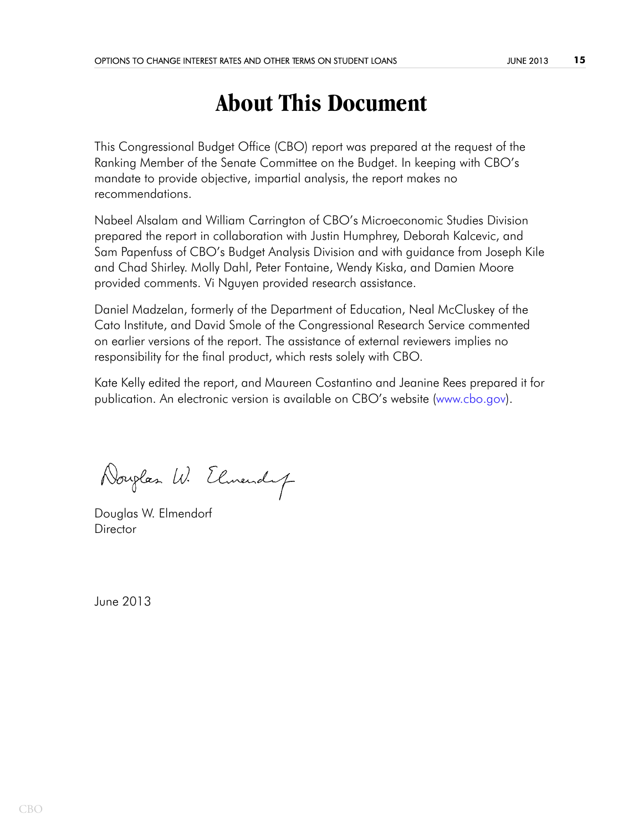# **About This Document**

This Congressional Budget Office (CBO) report was prepared at the request of the Ranking Member of the Senate Committee on the Budget. In keeping with CBO's mandate to provide objective, impartial analysis, the report makes no recommendations.

Nabeel Alsalam and William Carrington of CBO's Microeconomic Studies Division prepared the report in collaboration with Justin Humphrey, Deborah Kalcevic, and Sam Papenfuss of CBO's Budget Analysis Division and with guidance from Joseph Kile and Chad Shirley. Molly Dahl, Peter Fontaine, Wendy Kiska, and Damien Moore provided comments. Vi Nguyen provided research assistance.

Daniel Madzelan, formerly of the Department of Education, Neal McCluskey of the Cato Institute, and David Smole of the Congressional Research Service commented on earlier versions of the report. The assistance of external reviewers implies no responsibility for the final product, which rests solely with CBO.

[Kate Kelly edited the report, and Maureen Costantino and Jeanine Rees prepared it for](http://www.cbo.gov)  [publication. An electronic version is available on CBO's website \(](http://www.cbo.gov)www.cbo.gov).

Douglas W. Elmendy

Douglas W. Elmendorf Director

June 2013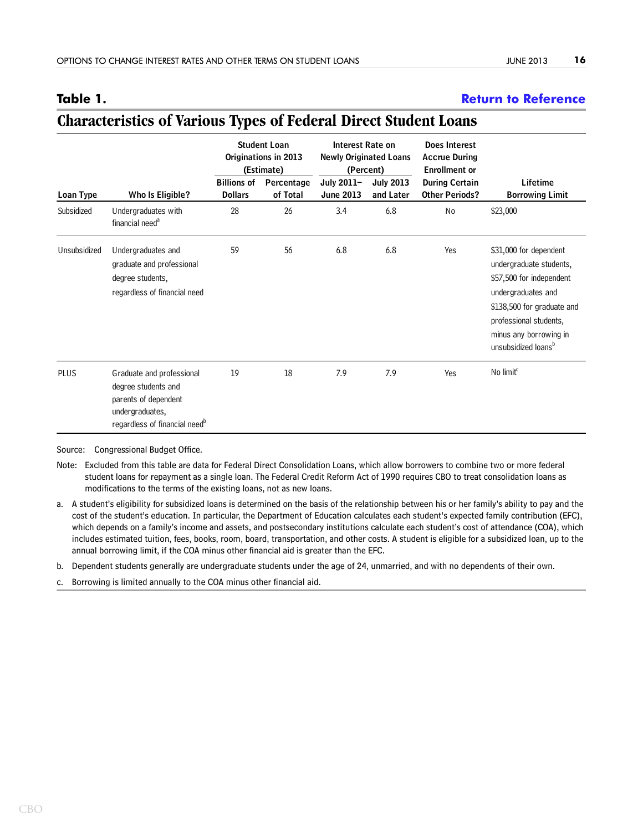### <span id="page-15-0"></span>**Table 1. [Return to Reference](#page-3-0)**

### **Does Interest Accrue During Enrollment or Billions of Percentage July 2011– July 2013 During Certain Lifetime Loan Type Who Is Eligible? Dollars of Total June 2013 and Later Other Periods? Borrowing Limit** Subsidized Undergraduates with 28 26 3.4 6.8 No \$23,000 financial need<sup>a</sup> Unsubsidized Undergraduates and 59 56 6.8 6.8 Yes \$31,000 for dependent graduate and professional and professional undergraduate students, degree students, the students of the students of the students of the students of the students of the students of the students of the students of the students of the students of the students of the students of the students regardless of financial need undergraduates and \$138,500 for graduate and professional students, minus any borrowing in unsubsidized loans<sup>b</sup> PLUS Graduate and professional 19 18 7.9 7.9 Yes  $No$  limit<sup>c</sup> degree students and parents of dependent undergraduates, regardless of financial need<sup>b</sup> **(Estimate) (Percent) Student Loan Originations in 2013 Newly Originated Loans Interest Rate on**

# **Characteristics of Various Types of Federal Direct Student Loans**

Source: Congressional Budget Office.

- Note: Excluded from this table are data for Federal Direct Consolidation Loans, which allow borrowers to combine two or more federal student loans for repayment as a single loan. The Federal Credit Reform Act of 1990 requires CBO to treat consolidation loans as modifications to the terms of the existing loans, not as new loans.
- a. A student's eligibility for subsidized loans is determined on the basis of the relationship between his or her family's ability to pay and the cost of the student's education. In particular, the Department of Education calculates each student's expected family contribution (EFC), which depends on a family's income and assets, and postsecondary institutions calculate each student's cost of attendance (COA), which includes estimated tuition, fees, books, room, board, transportation, and other costs. A student is eligible for a subsidized loan, up to the annual borrowing limit, if the COA minus other financial aid is greater than the EFC.

b. Dependent students generally are undergraduate students under the age of 24, unmarried, and with no dependents of their own.

c. Borrowing is limited annually to the COA minus other financial aid.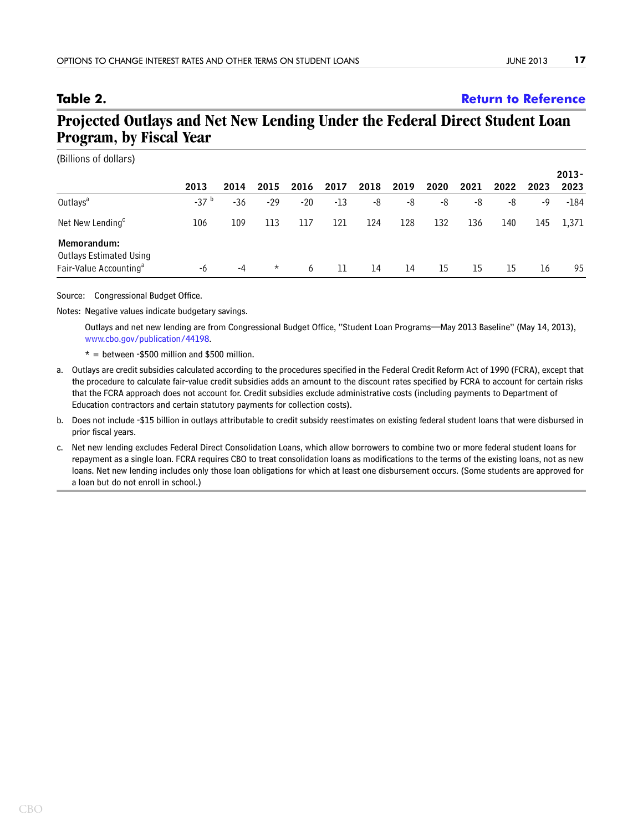## <span id="page-16-0"></span>**Table 2. [Return to Reference](#page-5-0)**

# **Projected Outlays and Net New Lending Under the Federal Direct Student Loan Program, by Fiscal Year**

| (Billions of dollars)                         |           |      |          |       |      |      |      |      |      |      |      |          |
|-----------------------------------------------|-----------|------|----------|-------|------|------|------|------|------|------|------|----------|
|                                               |           |      |          |       |      |      |      |      |      |      |      | $2013 -$ |
|                                               | 2013      | 2014 | 2015     | 2016  | 2017 | 2018 | 2019 | 2020 | 2021 | 2022 | 2023 | 2023     |
| Outlays <sup>a</sup>                          | $-37^{b}$ | -36  | -29      | $-20$ | -13  | -8   | -8   | -8   | -8   | -8   | -9   | -184     |
| Net New Lending <sup>c</sup>                  | 106       | 109  | 113      | 117   | 121  | 124  | 128  | 132  | 136  | 140  | 145  | 1,371    |
| Memorandum:<br><b>Outlays Estimated Using</b> |           |      |          |       |      |      |      |      |      |      |      |          |
| Fair-Value Accounting <sup>a</sup>            | -6        | -4   | $^\star$ | 6     | 11   | 14   | 14   | 15   | 15   | 15   | 16   | 95       |

Source: Congressional Budget Office.

Notes: Negative values indicate budgetary savings.

Outlays and net new lending are from Congressional Budget Office, "Student Loan Programs—May 2013 Baseline" (May 14, 2013), [www.cbo.gov/publication/44198](http://www.cbo.gov/publication/44198).

 $* =$  between -\$500 million and \$500 million.

- a. Outlays are credit subsidies calculated according to the procedures specified in the Federal Credit Reform Act of 1990 (FCRA), except that the procedure to calculate fair-value credit subsidies adds an amount to the discount rates specified by FCRA to account for certain risks that the FCRA approach does not account for. Credit subsidies exclude administrative costs (including payments to Department of Education contractors and certain statutory payments for collection costs).
- b. Does not include -\$15 billion in outlays attributable to credit subsidy reestimates on existing federal student loans that were disbursed in prior fiscal years.
- c. Net new lending excludes Federal Direct Consolidation Loans, which allow borrowers to combine two or more federal student loans for repayment as a single loan. FCRA requires CBO to treat consolidation loans as modifications to the terms of the existing loans, not as new loans. Net new lending includes only those loan obligations for which at least one disbursement occurs. (Some students are approved for a loan but do not enroll in school.)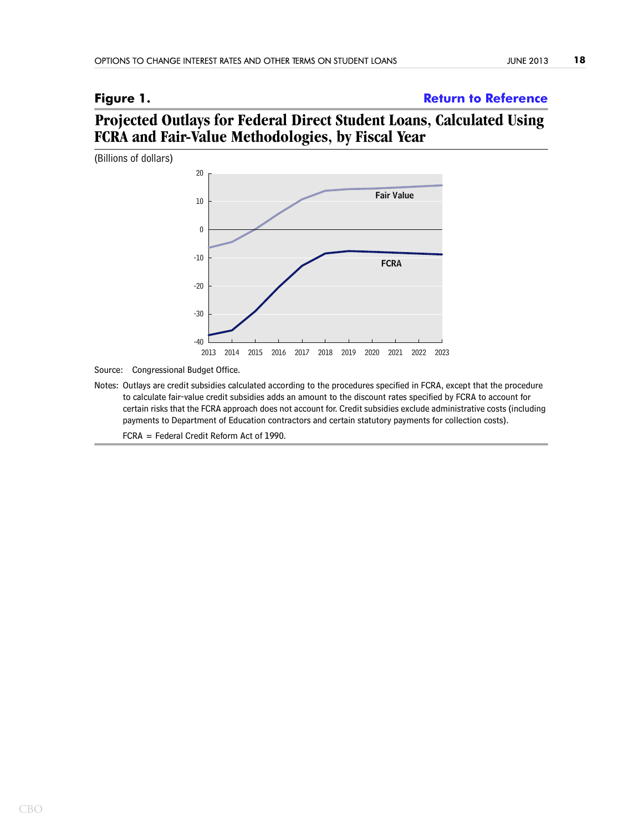# <span id="page-17-0"></span>**Figure 1. [Return to Reference](#page-6-0)**

# **Projected Outlays for Federal Direct Student Loans, Calculated Using FCRA and Fair-Value Methodologies, by Fiscal Year**



Source: Congressional Budget Office.

Notes: Outlays are credit subsidies calculated according to the procedures specified in FCRA, except that the procedure to calculate fair-value credit subsidies adds an amount to the discount rates specified by FCRA to account for certain risks that the FCRA approach does not account for. Credit subsidies exclude administrative costs (including payments to Department of Education contractors and certain statutory payments for collection costs).

FCRA = Federal Credit Reform Act of 1990.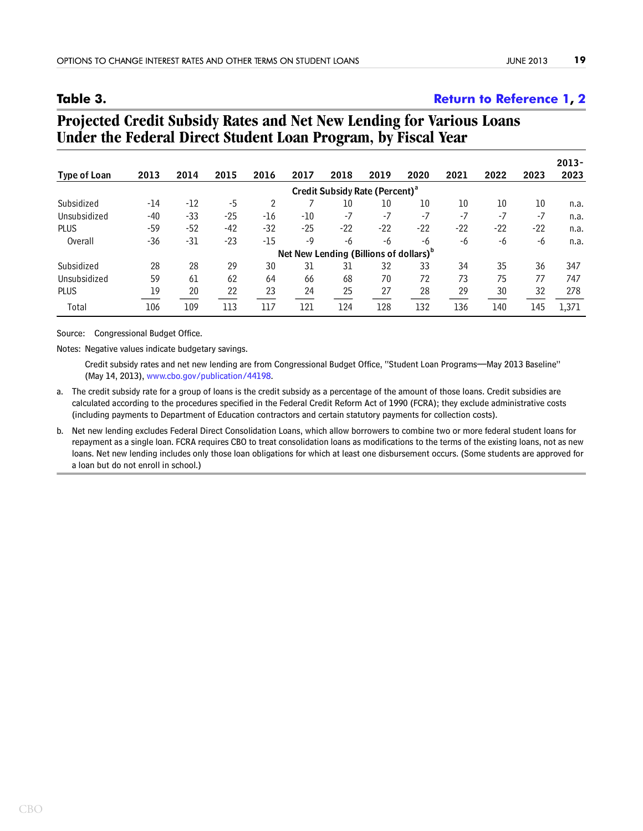### <span id="page-18-0"></span>**Table 3. [Return to Reference 1,](#page-6-1) [2](#page-13-0)**

| Type of Loan | 2013                                               | 2014  | 2015  | 2016  | 2017  | 2018  | 2019                                       | 2020  | 2021            | 2022  | 2023  | $2013 -$<br>2023 |
|--------------|----------------------------------------------------|-------|-------|-------|-------|-------|--------------------------------------------|-------|-----------------|-------|-------|------------------|
|              |                                                    |       |       |       |       |       | Credit Subsidy Rate (Percent) <sup>a</sup> |       |                 |       |       |                  |
| Subsidized   | -14                                                | $-12$ | -5    | 2     |       | 10    | 10                                         | 10    | 10 <sup>°</sup> | 10    | 10    | n.a.             |
| Unsubsidized | $-40$                                              | $-33$ | $-25$ | -16   | $-10$ | $-7$  | $-7$                                       | $-7$  | $-7$            | $-7$  | $-7$  | n.a.             |
| <b>PLUS</b>  | -59                                                | $-52$ | $-42$ | -32   | $-25$ | $-22$ | $-22$                                      | $-22$ | $-22$           | $-22$ | $-22$ | n.a.             |
| Overall      | $-36$                                              | -31   | $-23$ | $-15$ | $-9$  | -6    | -6                                         | -6    | -6              | -6    | -6    | n.a.             |
|              | Net New Lending (Billions of dollars) <sup>b</sup> |       |       |       |       |       |                                            |       |                 |       |       |                  |
| Subsidized   | 28                                                 | 28    | 29    | 30    | 31    | 31    | 32                                         | 33    | 34              | 35    | 36    | 347              |
| Unsubsidized | 59                                                 | 61    | 62    | 64    | 66    | 68    | 70                                         | 72    | 73              | 75    | 77    | 747              |
| PLUS         | 19                                                 | 20    | 22    | 23    | 24    | 25    | 27                                         | 28    | 29              | 30    | 32    | 278              |
| Total        | 106                                                | 109   | 113   | 117   | 121   | 124   | 128                                        | 132   | 136             | 140   | 145   | 1.371            |

# **Projected Credit Subsidy Rates and Net New Lending for Various Loans Under the Federal Direct Student Loan Program, by Fiscal Year**

Source: Congressional Budget Office.

Notes: Negative values indicate budgetary savings.

Credit subsidy rates and net new lending are from Congressional Budget Office, "Student Loan Programs—May 2013 Baseline" (May 14, 2013), [www.cbo.gov/publication/44198.](http://www.cbo.gov/publication/44198)

- a. The credit subsidy rate for a group of loans is the credit subsidy as a percentage of the amount of those loans. Credit subsidies are calculated according to the procedures specified in the Federal Credit Reform Act of 1990 (FCRA); they exclude administrative costs (including payments to Department of Education contractors and certain statutory payments for collection costs).
- b. Net new lending excludes Federal Direct Consolidation Loans, which allow borrowers to combine two or more federal student loans for repayment as a single loan. FCRA requires CBO to treat consolidation loans as modifications to the terms of the existing loans, not as new loans. Net new lending includes only those loan obligations for which at least one disbursement occurs. (Some students are approved for a loan but do not enroll in school.)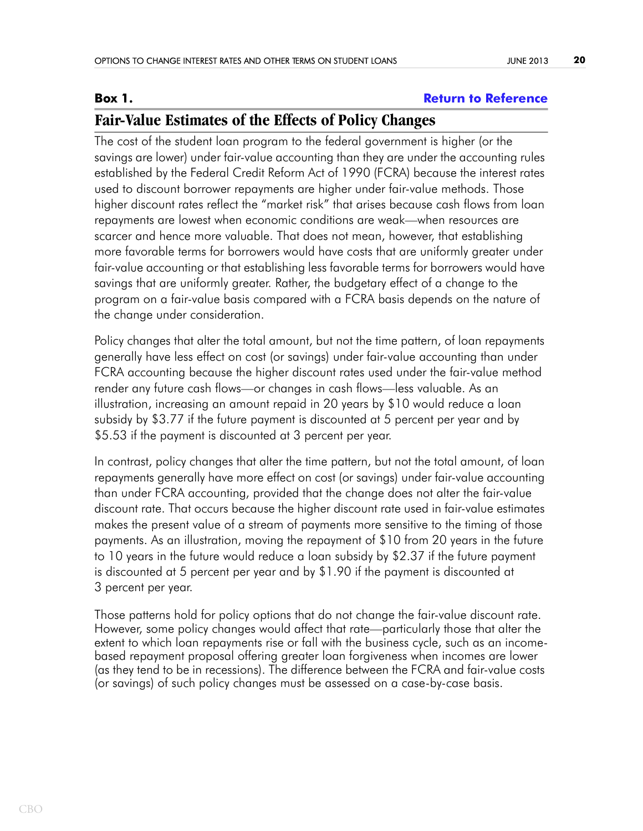### <span id="page-19-0"></span>**Box 1. [Return to Reference](#page-7-0)**

# **Fair-Value Estimates of the Effects of Policy Changes**

The cost of the student loan program to the federal government is higher (or the savings are lower) under fair-value accounting than they are under the accounting rules established by the Federal Credit Reform Act of 1990 (FCRA) because the interest rates used to discount borrower repayments are higher under fair-value methods. Those higher discount rates reflect the "market risk" that arises because cash flows from loan repayments are lowest when economic conditions are weak—when resources are scarcer and hence more valuable. That does not mean, however, that establishing more favorable terms for borrowers would have costs that are uniformly greater under fair-value accounting or that establishing less favorable terms for borrowers would have savings that are uniformly greater. Rather, the budgetary effect of a change to the program on a fair-value basis compared with a FCRA basis depends on the nature of the change under consideration.

Policy changes that alter the total amount, but not the time pattern, of loan repayments generally have less effect on cost (or savings) under fair-value accounting than under FCRA accounting because the higher discount rates used under the fair-value method render any future cash flows—or changes in cash flows—less valuable. As an illustration, increasing an amount repaid in 20 years by \$10 would reduce a loan subsidy by \$3.77 if the future payment is discounted at 5 percent per year and by \$5.53 if the payment is discounted at 3 percent per year.

In contrast, policy changes that alter the time pattern, but not the total amount, of loan repayments generally have more effect on cost (or savings) under fair-value accounting than under FCRA accounting, provided that the change does not alter the fair-value discount rate. That occurs because the higher discount rate used in fair-value estimates makes the present value of a stream of payments more sensitive to the timing of those payments. As an illustration, moving the repayment of \$10 from 20 years in the future to 10 years in the future would reduce a loan subsidy by \$2.37 if the future payment is discounted at 5 percent per year and by \$1.90 if the payment is discounted at 3 percent per year.

Those patterns hold for policy options that do not change the fair-value discount rate. However, some policy changes would affect that rate—particularly those that alter the extent to which loan repayments rise or fall with the business cycle, such as an incomebased repayment proposal offering greater loan forgiveness when incomes are lower (as they tend to be in recessions). The difference between the FCRA and fair-value costs (or savings) of such policy changes must be assessed on a case-by-case basis.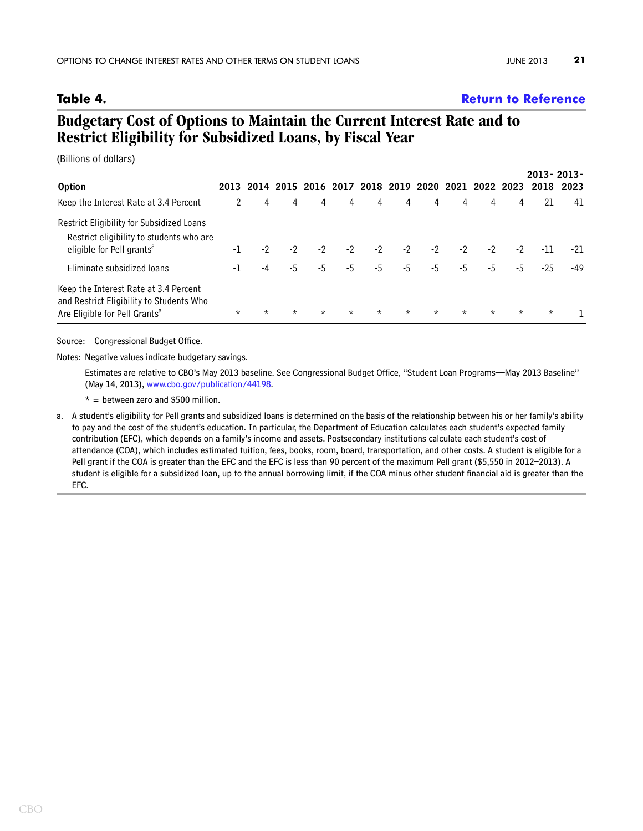### <span id="page-20-0"></span>**Table 4. [Return to Reference](#page-9-0)**

# **Budgetary Cost of Options to Maintain the Current Interest Rate and to Restrict Eligibility for Subsidized Loans, by Fiscal Year**

(Billions of dollars)

|                                                                                                                                |         |         |         |         |         |         |         |         |         |                                                        |         | $2013 - 2013 -$ |           |
|--------------------------------------------------------------------------------------------------------------------------------|---------|---------|---------|---------|---------|---------|---------|---------|---------|--------------------------------------------------------|---------|-----------------|-----------|
| <b>Option</b>                                                                                                                  |         |         |         |         |         |         |         |         |         | 2013 2014 2015 2016 2017 2018 2019 2020 2021 2022 2023 |         |                 | 2018 2023 |
| Keep the Interest Rate at 3.4 Percent                                                                                          | 2       | 4       | 4       | 4       | 4       | 4       | 4       | 4       | 4       | 4                                                      | 4       | 21              | 41        |
| Restrict Eligibility for Subsidized Loans<br>Restrict eligibility to students who are<br>eligible for Pell grants <sup>a</sup> | -1      | $-2$    | $-2$    | $-2$    | $-2$    | $-2$    | $-2$    | $-2$    | $-2$    | $-2$                                                   | $-2$    | -11             | $-21$     |
| Eliminate subsidized loans                                                                                                     | -1      | -4      | $-5$    | $-5$    | $-5$    | $-5$    | $-5$    | $-5$    | $-5$    | -5                                                     | $-5$    | $-25$           | $-49$     |
| Keep the Interest Rate at 3.4 Percent<br>and Restrict Eligibility to Students Who<br>Are Eligible for Pell Grants <sup>a</sup> | $\star$ | $\star$ | $\star$ | $\star$ | $\star$ | $\star$ | $\star$ | $\star$ | $\star$ | $\star$                                                | $\star$ | $\star$         |           |

Source: Congressional Budget Office.

Notes: Negative values indicate budgetary savings.

Estimates are relative to CBO's May 2013 baseline. See Congressional Budget Office, "Student Loan Programs—May 2013 Baseline" (May 14, 2013), [www.cbo.gov/publication/44198.](http://www.cbo.gov/publication/44198)

 $* =$  between zero and \$500 million.

a. A student's eligibility for Pell grants and subsidized loans is determined on the basis of the relationship between his or her family's ability to pay and the cost of the student's education. In particular, the Department of Education calculates each student's expected family contribution (EFC), which depends on a family's income and assets. Postsecondary institutions calculate each student's cost of attendance (COA), which includes estimated tuition, fees, books, room, board, transportation, and other costs. A student is eligible for a Pell grant if the COA is greater than the EFC and the EFC is less than 90 percent of the maximum Pell grant (\$5,550 in 2012–2013). A student is eligible for a subsidized loan, up to the annual borrowing limit, if the COA minus other student financial aid is greater than the EFC.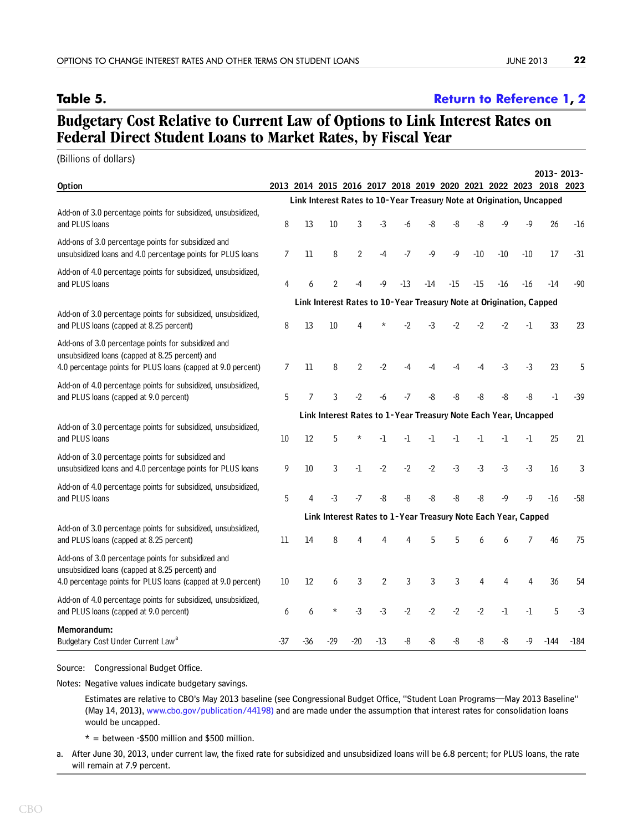### <span id="page-21-0"></span>**Table 5. [Return to Reference 1,](#page-11-0) [2](#page-12-0)**

# **Budgetary Cost Relative to Current Law of Options to Link Interest Rates on Federal Direct Student Loans to Market Rates, by Fiscal Year**

(Billions of dollars)

|                                                                                                                                                                        |     |     |                                                                     |                |                |       |       |      |       |           |       | 2013-2013-                                                            |        |
|------------------------------------------------------------------------------------------------------------------------------------------------------------------------|-----|-----|---------------------------------------------------------------------|----------------|----------------|-------|-------|------|-------|-----------|-------|-----------------------------------------------------------------------|--------|
| <b>Option</b>                                                                                                                                                          |     |     | 2013 2014 2015 2016 2017 2018 2019 2020 2021 2022 2023              |                |                |       |       |      |       |           |       | 2018                                                                  | 2023   |
|                                                                                                                                                                        |     |     |                                                                     |                |                |       |       |      |       |           |       | Link Interest Rates to 10-Year Treasury Note at Origination, Uncapped |        |
| Add-on of 3.0 percentage points for subsidized, unsubsidized,<br>and PLUS loans                                                                                        | 8   | 13  | 10                                                                  | 3              | -3             |       | -8    | -8   | -8    | -9        | $-9$  | 26                                                                    | $-16$  |
| Add-ons of 3.0 percentage points for subsidized and<br>unsubsidized loans and 4.0 percentage points for PLUS loans                                                     | 7   | 11  | 8                                                                   | $\overline{2}$ | $-4$           | $-7$  | $-9$  | $-9$ | $-10$ | $-10$     | $-10$ | 17                                                                    | $-31$  |
| Add-on of 4.0 percentage points for subsidized, unsubsidized,<br>and PLUS loans                                                                                        | 4   | 6   | 2                                                                   |                | -9             | $-13$ | $-14$ | -15  | -15   | -16       | $-16$ | -14                                                                   | -90    |
|                                                                                                                                                                        |     |     | Link Interest Rates to 10-Year Treasury Note at Origination, Capped |                |                |       |       |      |       |           |       |                                                                       |        |
| Add-on of 3.0 percentage points for subsidized, unsubsidized,<br>and PLUS loans (capped at 8.25 percent)                                                               | 8   | 13  | 10                                                                  |                |                | -2    | -3    | $-2$ | $-2$  | $-2$      | -1    | 33                                                                    | 23     |
| Add-ons of 3.0 percentage points for subsidized and<br>unsubsidized loans (capped at 8.25 percent) and<br>4.0 percentage points for PLUS loans (capped at 9.0 percent) | 7   | 11  | 8                                                                   | $\overline{2}$ | $-2$           | -4    | -4    | -4   | -4    | $-3$      | $-3$  | 23                                                                    | 5      |
| Add-on of 4.0 percentage points for subsidized, unsubsidized,<br>and PLUS loans (capped at 9.0 percent)                                                                | 5   | 7   | 3                                                                   | -2             | -6             | $-7$  | -8    | -8   | -8    | -8        | -8    | $-1$                                                                  | $-39$  |
|                                                                                                                                                                        |     |     | Link Interest Rates to 1-Year Treasury Note Each Year, Uncapped     |                |                |       |       |      |       |           |       |                                                                       |        |
| Add-on of 3.0 percentage points for subsidized, unsubsidized,<br>and PLUS loans                                                                                        | 10  | 12  | 5                                                                   |                | -1             | -1    | -1    | -1   | -1    | -1        | -1    | 25                                                                    | 21     |
| Add-on of 3.0 percentage points for subsidized and<br>unsubsidized loans and 4.0 percentage points for PLUS loans                                                      | 9   | 10  | 3                                                                   | -1             | $-2$           | $-2$  | $-2$  | $-3$ | $-3$  | $-3$      | $-3$  | 16                                                                    | 3      |
| Add-on of 4.0 percentage points for subsidized, unsubsidized,<br>and PLUS loans                                                                                        | 5   | 4   | $-3$                                                                | -7             | -8             | -8    | -8    | -8   | $-8$  | $-9$      | -9    | $-16$                                                                 | $-58$  |
|                                                                                                                                                                        |     |     | Link Interest Rates to 1-Year Treasury Note Each Year, Capped       |                |                |       |       |      |       |           |       |                                                                       |        |
| Add-on of 3.0 percentage points for subsidized, unsubsidized,                                                                                                          |     |     |                                                                     |                |                |       |       |      |       |           |       |                                                                       |        |
| and PLUS loans (capped at 8.25 percent)                                                                                                                                | 11  | 14  | 8                                                                   |                |                |       | 5     | 5    | 6     | 6         |       | 46                                                                    | 75     |
| Add-ons of 3.0 percentage points for subsidized and<br>unsubsidized loans (capped at 8.25 percent) and<br>4.0 percentage points for PLUS loans (capped at 9.0 percent) | 10  | 12  | 6                                                                   | 3              | $\overline{2}$ | 3     | 3     | 3    | 4     | 4         | 4     | 36                                                                    | 54     |
| Add-on of 4.0 percentage points for subsidized, unsubsidized,<br>and PLUS loans (capped at 9.0 percent)                                                                | 6   | 6   | $\star$                                                             | $-3$           | $-3$           | $-2$  | $-2$  | $-2$ | $-2$  | $\cdot$ l | $-1$  | 5                                                                     | -3     |
| Memorandum:<br>Budgetary Cost Under Current Law <sup>a</sup>                                                                                                           | -37 | -36 | -29                                                                 | $-20$          | $-13$          | -8    | -8    | -8   | -8    | -8        | -9    | $-144$                                                                | $-184$ |

Source: Congressional Budget Office.

Notes: Negative values indicate budgetary savings.

Estimates are relative to CBO's May 2013 baseline (see Congressional Budget Office, "Student Loan Programs—May 2013 Baseline" (May 14, 2013), [www.cbo.gov/publication/44198\)](http://www.cbo.gov/publication/44198) and are made under the assumption that interest rates for consolidation loans would be uncapped.

 $* =$  between -\$500 million and \$500 million.

a. After June 30, 2013, under current law, the fixed rate for subsidized and unsubsidized loans will be 6.8 percent; for PLUS loans, the rate will remain at 7.9 percent.